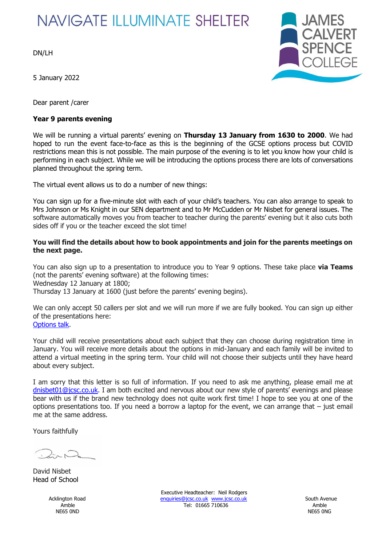# **NAVIGATE ILLUMINATE SHELTER**

DN/LH

5 January 2022

Dear parent /carer

## **Year 9 parents evening**



We will be running a virtual parents' evening on **Thursday 13 January from 1630 to 2000**. We had hoped to run the event face-to-face as this is the beginning of the GCSE options process but COVID restrictions mean this is not possible. The main purpose of the evening is to let you know how your child is performing in each subject. While we will be introducing the options process there are lots of conversations planned throughout the spring term.

The virtual event allows us to do a number of new things:

You can sign up for a five-minute slot with each of your child's teachers. You can also arrange to speak to Mrs Johnson or Ms Knight in our SEN department and to Mr McCudden or Mr Nisbet for general issues. The software automatically moves you from teacher to teacher during the parents' evening but it also cuts both sides off if you or the teacher exceed the slot time!

#### **You will find the details about how to book appointments and join for the parents meetings on the next page.**

You can also sign up to a presentation to introduce you to Year 9 options. These take place **via Teams** (not the parents' evening software) at the following times: Wednesday 12 January at 1800; Thursday 13 January at 1600 (just before the parents' evening begins).

We can only accept 50 callers per slot and we will run more if we are fully booked. You can sign up either of the presentations here: [Options talk.](https://forms.office.com/r/PAg5FdEswY)

Your child will receive presentations about each subject that they can choose during registration time in January. You will receive more details about the options in mid-January and each family will be invited to attend a virtual meeting in the spring term. Your child will not choose their subjects until they have heard about every subject.

I am sorry that this letter is so full of information. If you need to ask me anything, please email me at [dnisbet01@jcsc.co.uk](mailto:dnisbet01@jcsc.co.uk). I am both excited and nervous about our new style of parents' evenings and please bear with us if the brand new technology does not quite work first time! I hope to see you at one of the options presentations too. If you need a borrow a laptop for the event, we can arrange that – just email me at the same address.

Yours faithfully

David Nisbet Head of School

NE65 0ND NE65 0NG

Executive Headteacher: Neil Rodgers Acklington Road **[enquiries@jcsc.co.uk](mailto:enquiries@jcsc.co.uk) www.jcsc.co.uk** South Avenue Amble Tel: 01665 710636 Amble